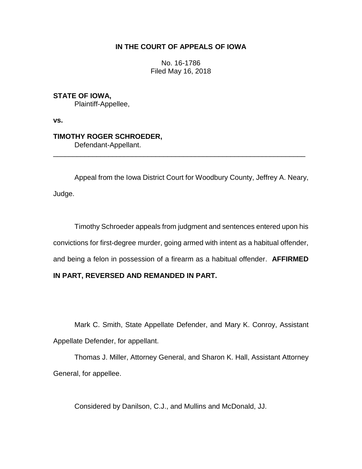## **IN THE COURT OF APPEALS OF IOWA**

No. 16-1786 Filed May 16, 2018

**STATE OF IOWA,** Plaintiff-Appellee,

**vs.**

**TIMOTHY ROGER SCHROEDER,** Defendant-Appellant.

Appeal from the Iowa District Court for Woodbury County, Jeffrey A. Neary, Judge.

\_\_\_\_\_\_\_\_\_\_\_\_\_\_\_\_\_\_\_\_\_\_\_\_\_\_\_\_\_\_\_\_\_\_\_\_\_\_\_\_\_\_\_\_\_\_\_\_\_\_\_\_\_\_\_\_\_\_\_\_\_\_\_\_

Timothy Schroeder appeals from judgment and sentences entered upon his convictions for first-degree murder, going armed with intent as a habitual offender, and being a felon in possession of a firearm as a habitual offender. **AFFIRMED** 

## **IN PART, REVERSED AND REMANDED IN PART.**

Mark C. Smith, State Appellate Defender, and Mary K. Conroy, Assistant Appellate Defender, for appellant.

Thomas J. Miller, Attorney General, and Sharon K. Hall, Assistant Attorney General, for appellee.

Considered by Danilson, C.J., and Mullins and McDonald, JJ.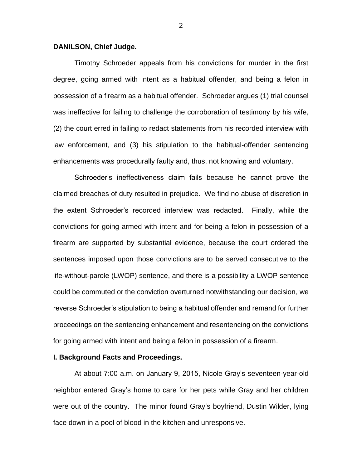#### **DANILSON, Chief Judge.**

Timothy Schroeder appeals from his convictions for murder in the first degree, going armed with intent as a habitual offender, and being a felon in possession of a firearm as a habitual offender. Schroeder argues (1) trial counsel was ineffective for failing to challenge the corroboration of testimony by his wife, (2) the court erred in failing to redact statements from his recorded interview with law enforcement, and (3) his stipulation to the habitual-offender sentencing enhancements was procedurally faulty and, thus, not knowing and voluntary.

Schroeder's ineffectiveness claim fails because he cannot prove the claimed breaches of duty resulted in prejudice. We find no abuse of discretion in the extent Schroeder's recorded interview was redacted. Finally, while the convictions for going armed with intent and for being a felon in possession of a firearm are supported by substantial evidence, because the court ordered the sentences imposed upon those convictions are to be served consecutive to the life-without-parole (LWOP) sentence, and there is a possibility a LWOP sentence could be commuted or the conviction overturned notwithstanding our decision, we reverse Schroeder's stipulation to being a habitual offender and remand for further proceedings on the sentencing enhancement and resentencing on the convictions for going armed with intent and being a felon in possession of a firearm.

#### **I. Background Facts and Proceedings.**

At about 7:00 a.m. on January 9, 2015, Nicole Gray's seventeen-year-old neighbor entered Gray's home to care for her pets while Gray and her children were out of the country. The minor found Gray's boyfriend, Dustin Wilder, lying face down in a pool of blood in the kitchen and unresponsive.

2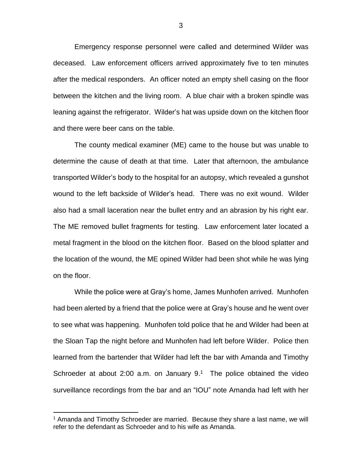Emergency response personnel were called and determined Wilder was deceased. Law enforcement officers arrived approximately five to ten minutes after the medical responders. An officer noted an empty shell casing on the floor between the kitchen and the living room. A blue chair with a broken spindle was leaning against the refrigerator. Wilder's hat was upside down on the kitchen floor and there were beer cans on the table.

The county medical examiner (ME) came to the house but was unable to determine the cause of death at that time. Later that afternoon, the ambulance transported Wilder's body to the hospital for an autopsy, which revealed a gunshot wound to the left backside of Wilder's head. There was no exit wound. Wilder also had a small laceration near the bullet entry and an abrasion by his right ear. The ME removed bullet fragments for testing. Law enforcement later located a metal fragment in the blood on the kitchen floor. Based on the blood splatter and the location of the wound, the ME opined Wilder had been shot while he was lying on the floor.

While the police were at Gray's home, James Munhofen arrived. Munhofen had been alerted by a friend that the police were at Gray's house and he went over to see what was happening. Munhofen told police that he and Wilder had been at the Sloan Tap the night before and Munhofen had left before Wilder. Police then learned from the bartender that Wilder had left the bar with Amanda and Timothy Schroeder at about 2:00 a.m. on January  $9<sup>1</sup>$  The police obtained the video surveillance recordings from the bar and an "IOU" note Amanda had left with her

<sup>1</sup> Amanda and Timothy Schroeder are married. Because they share a last name, we will refer to the defendant as Schroeder and to his wife as Amanda.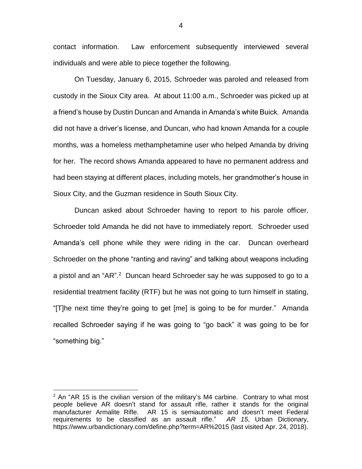contact information. Law enforcement subsequently interviewed several individuals and were able to piece together the following.

On Tuesday, January 6, 2015, Schroeder was paroled and released from custody in the Sioux City area. At about 11:00 a.m., Schroeder was picked up at a friend's house by Dustin Duncan and Amanda in Amanda's white Buick. Amanda did not have a driver's license, and Duncan, who had known Amanda for a couple months, was a homeless methamphetamine user who helped Amanda by driving for her. The record shows Amanda appeared to have no permanent address and had been staying at different places, including motels, her grandmother's house in Sioux City, and the Guzman residence in South Sioux City.

Duncan asked about Schroeder having to report to his parole officer. Schroeder told Amanda he did not have to immediately report. Schroeder used Amanda's cell phone while they were riding in the car. Duncan overheard Schroeder on the phone "ranting and raving" and talking about weapons including a pistol and an "AR".<sup>2</sup> Duncan heard Schroeder say he was supposed to go to a residential treatment facility (RTF) but he was not going to turn himself in stating, "[T]he next time they're going to get [me] is going to be for murder." Amanda recalled Schroeder saying if he was going to "go back" it was going to be for "something big."

 $\overline{a}$ 

4

 $2$  An "AR 15 is the civilian version of the military's M4 carbine. Contrary to what most people believe AR doesn't stand for assault rifle, rather it stands for the original manufacturer Armalite Rifle. AR 15 is semiautomatic and doesn't meet Federal requirements to be classified as an assault rifle." *AR 15*, Urban Dictionary, https://www.urbandictionary.com/define.php?term=AR%2015 (last visited Apr. 24, 2018).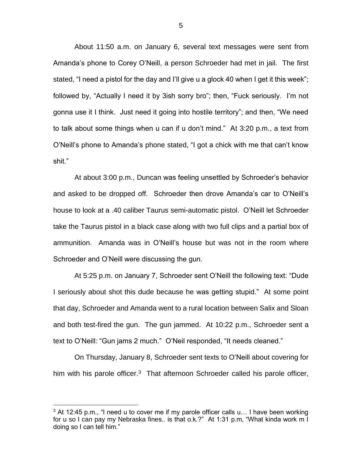About 11:50 a.m. on January 6, several text messages were sent from Amanda's phone to Corey O'Neill, a person Schroeder had met in jail. The first stated, "I need a pistol for the day and I'll give u a glock 40 when I get it this week"; followed by, "Actually I need it by 3ish sorry bro"; then, "Fuck seriously. I'm not gonna use it I think. Just need it going into hostile territory"; and then, "We need to talk about some things when u can if u don't mind." At 3:20 p.m., a text from O'Neill's phone to Amanda's phone stated, "I got a chick with me that can't know shit."

At about 3:00 p.m., Duncan was feeling unsettled by Schroeder's behavior and asked to be dropped off. Schroeder then drove Amanda's car to O'Neill's house to look at a .40 caliber Taurus semi-automatic pistol. O'Neill let Schroeder take the Taurus pistol in a black case along with two full clips and a partial box of ammunition. Amanda was in O'Neill's house but was not in the room where Schroeder and O'Neill were discussing the gun.

At 5:25 p.m. on January 7, Schroeder sent O'Neill the following text: "Dude I seriously about shot this dude because he was getting stupid." At some point that day, Schroeder and Amanda went to a rural location between Salix and Sloan and both test-fired the gun. The gun jammed. At 10:22 p.m., Schroeder sent a text to O'Neill: "Gun jams 2 much." O'Neil responded, "It needs cleaned."

On Thursday, January 8, Schroeder sent texts to O'Neill about covering for him with his parole officer. $3$  That afternoon Schroeder called his parole officer,

 $3$  At 12:45 p.m., "I need u to cover me if my parole officer calls u... I have been working for u so I can pay my Nebraska fines.. is that o.k.?" At 1:31 p.m, "What kinda work m I doing so I can tell him."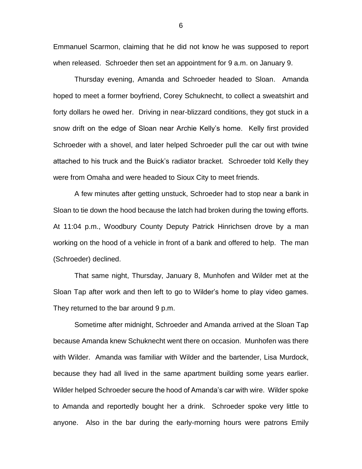Emmanuel Scarmon, claiming that he did not know he was supposed to report when released. Schroeder then set an appointment for 9 a.m. on January 9.

Thursday evening, Amanda and Schroeder headed to Sloan. Amanda hoped to meet a former boyfriend, Corey Schuknecht, to collect a sweatshirt and forty dollars he owed her. Driving in near-blizzard conditions, they got stuck in a snow drift on the edge of Sloan near Archie Kelly's home. Kelly first provided Schroeder with a shovel, and later helped Schroeder pull the car out with twine attached to his truck and the Buick's radiator bracket. Schroeder told Kelly they were from Omaha and were headed to Sioux City to meet friends.

A few minutes after getting unstuck, Schroeder had to stop near a bank in Sloan to tie down the hood because the latch had broken during the towing efforts. At 11:04 p.m., Woodbury County Deputy Patrick Hinrichsen drove by a man working on the hood of a vehicle in front of a bank and offered to help. The man (Schroeder) declined.

That same night, Thursday, January 8, Munhofen and Wilder met at the Sloan Tap after work and then left to go to Wilder's home to play video games. They returned to the bar around 9 p.m.

Sometime after midnight, Schroeder and Amanda arrived at the Sloan Tap because Amanda knew Schuknecht went there on occasion. Munhofen was there with Wilder. Amanda was familiar with Wilder and the bartender, Lisa Murdock, because they had all lived in the same apartment building some years earlier. Wilder helped Schroeder secure the hood of Amanda's car with wire. Wilder spoke to Amanda and reportedly bought her a drink. Schroeder spoke very little to anyone. Also in the bar during the early-morning hours were patrons Emily

6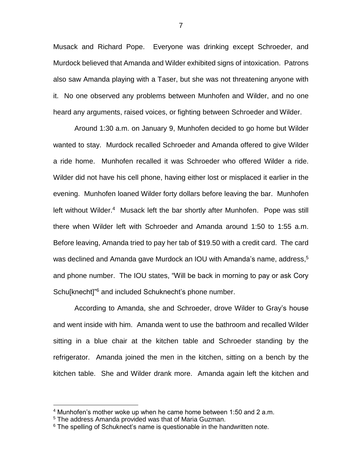Musack and Richard Pope. Everyone was drinking except Schroeder, and Murdock believed that Amanda and Wilder exhibited signs of intoxication. Patrons also saw Amanda playing with a Taser, but she was not threatening anyone with it. No one observed any problems between Munhofen and Wilder, and no one heard any arguments, raised voices, or fighting between Schroeder and Wilder.

Around 1:30 a.m. on January 9, Munhofen decided to go home but Wilder wanted to stay. Murdock recalled Schroeder and Amanda offered to give Wilder a ride home. Munhofen recalled it was Schroeder who offered Wilder a ride. Wilder did not have his cell phone, having either lost or misplaced it earlier in the evening. Munhofen loaned Wilder forty dollars before leaving the bar. Munhofen left without Wilder.<sup>4</sup> Musack left the bar shortly after Munhofen. Pope was still there when Wilder left with Schroeder and Amanda around 1:50 to 1:55 a.m. Before leaving, Amanda tried to pay her tab of \$19.50 with a credit card. The card was declined and Amanda gave Murdock an IOU with Amanda's name, address,<sup>5</sup> and phone number. The IOU states, "Will be back in morning to pay or ask Cory Schu[knecht]<sup>"6</sup> and included Schuknecht's phone number.

According to Amanda, she and Schroeder, drove Wilder to Gray's house and went inside with him. Amanda went to use the bathroom and recalled Wilder sitting in a blue chair at the kitchen table and Schroeder standing by the refrigerator. Amanda joined the men in the kitchen, sitting on a bench by the kitchen table. She and Wilder drank more. Amanda again left the kitchen and

<sup>4</sup> Munhofen's mother woke up when he came home between 1:50 and 2 a.m.

<sup>5</sup> The address Amanda provided was that of Maria Guzman.

<sup>&</sup>lt;sup>6</sup> The spelling of Schuknect's name is questionable in the handwritten note.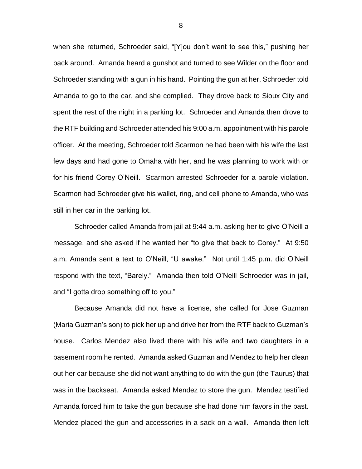when she returned, Schroeder said, "[Y]ou don't want to see this," pushing her back around. Amanda heard a gunshot and turned to see Wilder on the floor and Schroeder standing with a gun in his hand. Pointing the gun at her, Schroeder told Amanda to go to the car, and she complied. They drove back to Sioux City and spent the rest of the night in a parking lot. Schroeder and Amanda then drove to the RTF building and Schroeder attended his 9:00 a.m. appointment with his parole officer. At the meeting, Schroeder told Scarmon he had been with his wife the last few days and had gone to Omaha with her, and he was planning to work with or for his friend Corey O'Neill. Scarmon arrested Schroeder for a parole violation. Scarmon had Schroeder give his wallet, ring, and cell phone to Amanda, who was still in her car in the parking lot.

Schroeder called Amanda from jail at 9:44 a.m. asking her to give O'Neill a message, and she asked if he wanted her "to give that back to Corey." At 9:50 a.m. Amanda sent a text to O'Neill, "U awake." Not until 1:45 p.m. did O'Neill respond with the text, "Barely." Amanda then told O'Neill Schroeder was in jail, and "I gotta drop something off to you."

Because Amanda did not have a license, she called for Jose Guzman (Maria Guzman's son) to pick her up and drive her from the RTF back to Guzman's house. Carlos Mendez also lived there with his wife and two daughters in a basement room he rented. Amanda asked Guzman and Mendez to help her clean out her car because she did not want anything to do with the gun (the Taurus) that was in the backseat. Amanda asked Mendez to store the gun. Mendez testified Amanda forced him to take the gun because she had done him favors in the past. Mendez placed the gun and accessories in a sack on a wall. Amanda then left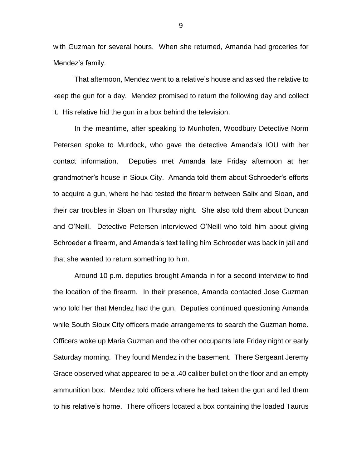with Guzman for several hours. When she returned, Amanda had groceries for Mendez's family.

That afternoon, Mendez went to a relative's house and asked the relative to keep the gun for a day. Mendez promised to return the following day and collect it. His relative hid the gun in a box behind the television.

In the meantime, after speaking to Munhofen, Woodbury Detective Norm Petersen spoke to Murdock, who gave the detective Amanda's IOU with her contact information. Deputies met Amanda late Friday afternoon at her grandmother's house in Sioux City. Amanda told them about Schroeder's efforts to acquire a gun, where he had tested the firearm between Salix and Sloan, and their car troubles in Sloan on Thursday night. She also told them about Duncan and O'Neill. Detective Petersen interviewed O'Neill who told him about giving Schroeder a firearm, and Amanda's text telling him Schroeder was back in jail and that she wanted to return something to him.

Around 10 p.m. deputies brought Amanda in for a second interview to find the location of the firearm. In their presence, Amanda contacted Jose Guzman who told her that Mendez had the gun. Deputies continued questioning Amanda while South Sioux City officers made arrangements to search the Guzman home. Officers woke up Maria Guzman and the other occupants late Friday night or early Saturday morning. They found Mendez in the basement. There Sergeant Jeremy Grace observed what appeared to be a .40 caliber bullet on the floor and an empty ammunition box. Mendez told officers where he had taken the gun and led them to his relative's home. There officers located a box containing the loaded Taurus

9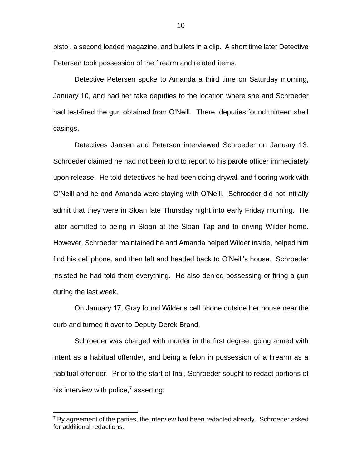pistol, a second loaded magazine, and bullets in a clip. A short time later Detective Petersen took possession of the firearm and related items.

Detective Petersen spoke to Amanda a third time on Saturday morning, January 10, and had her take deputies to the location where she and Schroeder had test-fired the gun obtained from O'Neill. There, deputies found thirteen shell casings.

Detectives Jansen and Peterson interviewed Schroeder on January 13. Schroeder claimed he had not been told to report to his parole officer immediately upon release. He told detectives he had been doing drywall and flooring work with O'Neill and he and Amanda were staying with O'Neill. Schroeder did not initially admit that they were in Sloan late Thursday night into early Friday morning. He later admitted to being in Sloan at the Sloan Tap and to driving Wilder home. However, Schroeder maintained he and Amanda helped Wilder inside, helped him find his cell phone, and then left and headed back to O'Neill's house. Schroeder insisted he had told them everything. He also denied possessing or firing a gun during the last week.

On January 17, Gray found Wilder's cell phone outside her house near the curb and turned it over to Deputy Derek Brand.

Schroeder was charged with murder in the first degree, going armed with intent as a habitual offender, and being a felon in possession of a firearm as a habitual offender. Prior to the start of trial, Schroeder sought to redact portions of his interview with police, $\frac{7}{7}$  asserting:

 $7$  By agreement of the parties, the interview had been redacted already. Schroeder asked for additional redactions.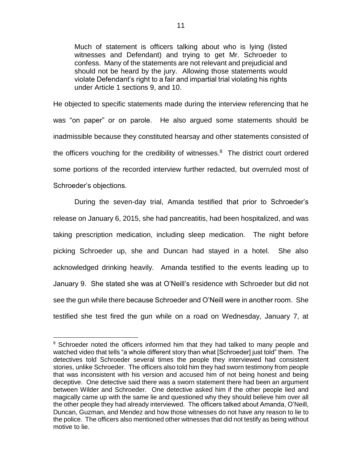Much of statement is officers talking about who is lying (listed witnesses and Defendant) and trying to get Mr. Schroeder to confess. Many of the statements are not relevant and prejudicial and should not be heard by the jury. Allowing those statements would violate Defendant's right to a fair and impartial trial violating his rights under Article 1 sections 9, and 10.

He objected to specific statements made during the interview referencing that he was "on paper" or on parole. He also argued some statements should be inadmissible because they constituted hearsay and other statements consisted of the officers vouching for the credibility of witnesses. $8$  The district court ordered some portions of the recorded interview further redacted, but overruled most of Schroeder's objections.

During the seven-day trial, Amanda testified that prior to Schroeder's release on January 6, 2015, she had pancreatitis, had been hospitalized, and was taking prescription medication, including sleep medication. The night before picking Schroeder up, she and Duncan had stayed in a hotel. She also acknowledged drinking heavily. Amanda testified to the events leading up to January 9. She stated she was at O'Neill's residence with Schroeder but did not see the gun while there because Schroeder and O'Neill were in another room. She testified she test fired the gun while on a road on Wednesday, January 7, at

<sup>&</sup>lt;sup>8</sup> Schroeder noted the officers informed him that they had talked to many people and watched video that tells "a whole different story than what [Schroeder] just told" them. The detectives told Schroeder several times the people they interviewed had consistent stories, unlike Schroeder. The officers also told him they had sworn testimony from people that was inconsistent with his version and accused him of not being honest and being deceptive. One detective said there was a sworn statement there had been an argument between Wilder and Schroeder. One detective asked him if the other people lied and magically came up with the same lie and questioned why they should believe him over all the other people they had already interviewed. The officers talked about Amanda, O'Neill, Duncan, Guzman, and Mendez and how those witnesses do not have any reason to lie to the police. The officers also mentioned other witnesses that did not testify as being without motive to lie.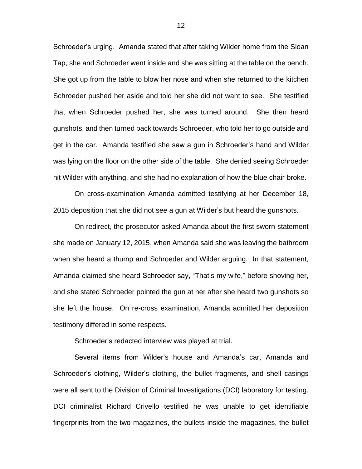Schroeder's urging. Amanda stated that after taking Wilder home from the Sloan Tap, she and Schroeder went inside and she was sitting at the table on the bench. She got up from the table to blow her nose and when she returned to the kitchen Schroeder pushed her aside and told her she did not want to see. She testified that when Schroeder pushed her, she was turned around. She then heard gunshots, and then turned back towards Schroeder, who told her to go outside and get in the car. Amanda testified she saw a gun in Schroeder's hand and Wilder was lying on the floor on the other side of the table. She denied seeing Schroeder hit Wilder with anything, and she had no explanation of how the blue chair broke.

On cross-examination Amanda admitted testifying at her December 18, 2015 deposition that she did not see a gun at Wilder's but heard the gunshots.

On redirect, the prosecutor asked Amanda about the first sworn statement she made on January 12, 2015, when Amanda said she was leaving the bathroom when she heard a thump and Schroeder and Wilder arguing. In that statement, Amanda claimed she heard Schroeder say, "That's my wife," before shoving her, and she stated Schroeder pointed the gun at her after she heard two gunshots so she left the house. On re-cross examination, Amanda admitted her deposition testimony differed in some respects.

Schroeder's redacted interview was played at trial.

Several items from Wilder's house and Amanda's car, Amanda and Schroeder's clothing, Wilder's clothing, the bullet fragments, and shell casings were all sent to the Division of Criminal Investigations (DCI) laboratory for testing. DCI criminalist Richard Crivello testified he was unable to get identifiable fingerprints from the two magazines, the bullets inside the magazines, the bullet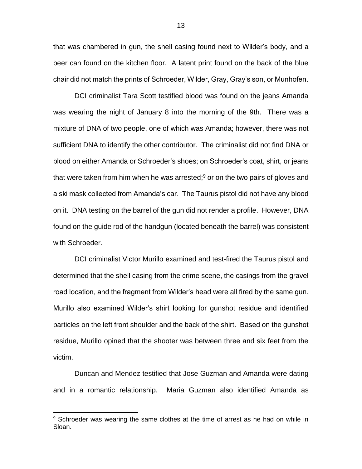that was chambered in gun, the shell casing found next to Wilder's body, and a beer can found on the kitchen floor. A latent print found on the back of the blue chair did not match the prints of Schroeder, Wilder, Gray, Gray's son, or Munhofen.

DCI criminalist Tara Scott testified blood was found on the jeans Amanda was wearing the night of January 8 into the morning of the 9th. There was a mixture of DNA of two people, one of which was Amanda; however, there was not sufficient DNA to identify the other contributor. The criminalist did not find DNA or blood on either Amanda or Schroeder's shoes; on Schroeder's coat, shirt, or jeans that were taken from him when he was arrested; <sup>9</sup> or on the two pairs of gloves and a ski mask collected from Amanda's car. The Taurus pistol did not have any blood on it. DNA testing on the barrel of the gun did not render a profile. However, DNA found on the guide rod of the handgun (located beneath the barrel) was consistent with Schroeder.

DCI criminalist Victor Murillo examined and test-fired the Taurus pistol and determined that the shell casing from the crime scene, the casings from the gravel road location, and the fragment from Wilder's head were all fired by the same gun. Murillo also examined Wilder's shirt looking for gunshot residue and identified particles on the left front shoulder and the back of the shirt. Based on the gunshot residue, Murillo opined that the shooter was between three and six feet from the victim.

Duncan and Mendez testified that Jose Guzman and Amanda were dating and in a romantic relationship. Maria Guzman also identified Amanda as

<sup>&</sup>lt;sup>9</sup> Schroeder was wearing the same clothes at the time of arrest as he had on while in Sloan.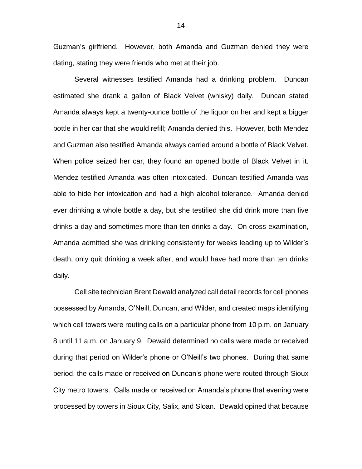Guzman's girlfriend. However, both Amanda and Guzman denied they were dating, stating they were friends who met at their job.

Several witnesses testified Amanda had a drinking problem. Duncan estimated she drank a gallon of Black Velvet (whisky) daily. Duncan stated Amanda always kept a twenty-ounce bottle of the liquor on her and kept a bigger bottle in her car that she would refill; Amanda denied this. However, both Mendez and Guzman also testified Amanda always carried around a bottle of Black Velvet. When police seized her car, they found an opened bottle of Black Velvet in it. Mendez testified Amanda was often intoxicated. Duncan testified Amanda was able to hide her intoxication and had a high alcohol tolerance. Amanda denied ever drinking a whole bottle a day, but she testified she did drink more than five drinks a day and sometimes more than ten drinks a day. On cross-examination, Amanda admitted she was drinking consistently for weeks leading up to Wilder's death, only quit drinking a week after, and would have had more than ten drinks daily.

Cell site technician Brent Dewald analyzed call detail records for cell phones possessed by Amanda, O'Neill, Duncan, and Wilder, and created maps identifying which cell towers were routing calls on a particular phone from 10 p.m. on January 8 until 11 a.m. on January 9. Dewald determined no calls were made or received during that period on Wilder's phone or O'Neill's two phones. During that same period, the calls made or received on Duncan's phone were routed through Sioux City metro towers. Calls made or received on Amanda's phone that evening were processed by towers in Sioux City, Salix, and Sloan. Dewald opined that because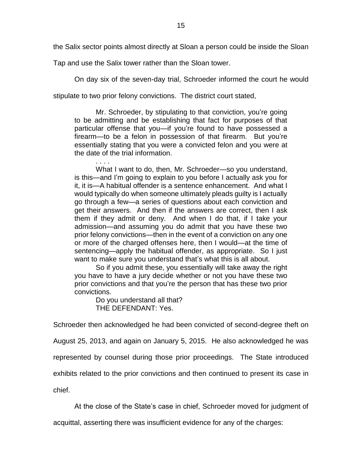the Salix sector points almost directly at Sloan a person could be inside the Sloan

Tap and use the Salix tower rather than the Sloan tower.

On day six of the seven-day trial, Schroeder informed the court he would

stipulate to two prior felony convictions. The district court stated,

Mr. Schroeder, by stipulating to that conviction, you're going to be admitting and be establishing that fact for purposes of that particular offense that you—if you're found to have possessed a firearm—to be a felon in possession of that firearm. But you're essentially stating that you were a convicted felon and you were at the date of the trial information.

. . . . What I want to do, then, Mr. Schroeder—so you understand, is this—and I'm going to explain to you before I actually ask you for it, it is—A habitual offender is a sentence enhancement. And what I would typically do when someone ultimately pleads guilty is I actually go through a few—a series of questions about each conviction and get their answers. And then if the answers are correct, then I ask them if they admit or deny. And when I do that, if I take your admission—and assuming you do admit that you have these two prior felony convictions—then in the event of a conviction on any one or more of the charged offenses here, then I would—at the time of sentencing—apply the habitual offender, as appropriate. So I just want to make sure you understand that's what this is all about.

So if you admit these, you essentially will take away the right you have to have a jury decide whether or not you have these two prior convictions and that you're the person that has these two prior convictions.

Do you understand all that? THE DEFENDANT: Yes.

Schroeder then acknowledged he had been convicted of second-degree theft on

August 25, 2013, and again on January 5, 2015. He also acknowledged he was

represented by counsel during those prior proceedings. The State introduced

exhibits related to the prior convictions and then continued to present its case in

chief.

At the close of the State's case in chief, Schroeder moved for judgment of

acquittal, asserting there was insufficient evidence for any of the charges: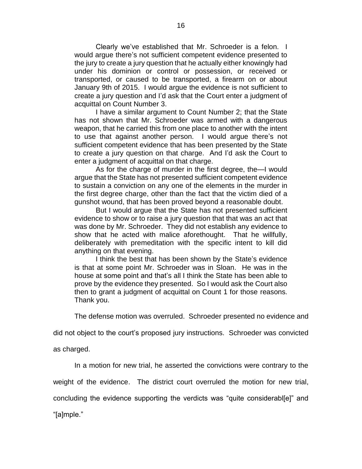Clearly we've established that Mr. Schroeder is a felon. I would argue there's not sufficient competent evidence presented to the jury to create a jury question that he actually either knowingly had under his dominion or control or possession, or received or transported, or caused to be transported, a firearm on or about January 9th of 2015. I would argue the evidence is not sufficient to create a jury question and I'd ask that the Court enter a judgment of acquittal on Count Number 3.

I have a similar argument to Count Number 2; that the State has not shown that Mr. Schroeder was armed with a dangerous weapon, that he carried this from one place to another with the intent to use that against another person. I would argue there's not sufficient competent evidence that has been presented by the State to create a jury question on that charge. And I'd ask the Court to enter a judgment of acquittal on that charge.

As for the charge of murder in the first degree, the—I would argue that the State has not presented sufficient competent evidence to sustain a conviction on any one of the elements in the murder in the first degree charge, other than the fact that the victim died of a gunshot wound, that has been proved beyond a reasonable doubt.

But I would argue that the State has not presented sufficient evidence to show or to raise a jury question that that was an act that was done by Mr. Schroeder. They did not establish any evidence to show that he acted with malice aforethought. That he willfully, deliberately with premeditation with the specific intent to kill did anything on that evening.

I think the best that has been shown by the State's evidence is that at some point Mr. Schroeder was in Sloan. He was in the house at some point and that's all I think the State has been able to prove by the evidence they presented. So I would ask the Court also then to grant a judgment of acquittal on Count 1 for those reasons. Thank you.

The defense motion was overruled. Schroeder presented no evidence and

did not object to the court's proposed jury instructions. Schroeder was convicted

as charged.

In a motion for new trial, he asserted the convictions were contrary to the

weight of the evidence. The district court overruled the motion for new trial,

concluding the evidence supporting the verdicts was "quite considerabl[e]" and

"[a]mple."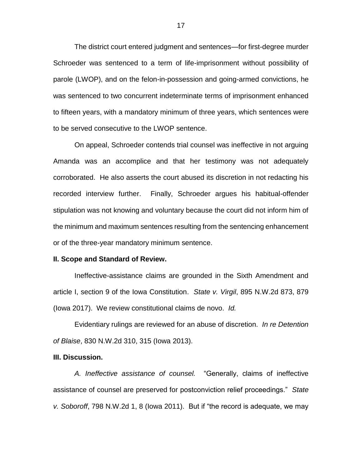The district court entered judgment and sentences—for first-degree murder Schroeder was sentenced to a term of life-imprisonment without possibility of parole (LWOP), and on the felon-in-possession and going-armed convictions, he was sentenced to two concurrent indeterminate terms of imprisonment enhanced to fifteen years, with a mandatory minimum of three years, which sentences were to be served consecutive to the LWOP sentence.

On appeal, Schroeder contends trial counsel was ineffective in not arguing Amanda was an accomplice and that her testimony was not adequately corroborated. He also asserts the court abused its discretion in not redacting his recorded interview further. Finally, Schroeder argues his habitual-offender stipulation was not knowing and voluntary because the court did not inform him of the minimum and maximum sentences resulting from the sentencing enhancement or of the three-year mandatory minimum sentence.

#### **II. Scope and Standard of Review.**

Ineffective-assistance claims are grounded in the Sixth Amendment and article I, section 9 of the Iowa Constitution. *State v. Virgil*, 895 N.W.2d 873, 879 (Iowa 2017). We review constitutional claims de novo. *Id.*

Evidentiary rulings are reviewed for an abuse of discretion. *In re Detention of Blaise*, 830 N.W.2d 310, 315 (Iowa 2013).

### **III. Discussion.**

*A. Ineffective assistance of counsel.* "Generally, claims of ineffective assistance of counsel are preserved for postconviction relief proceedings." *State v. Soboroff*, 798 N.W.2d 1, 8 (Iowa 2011). But if "the record is adequate, we may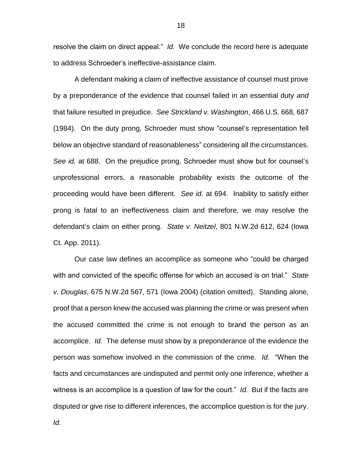resolve the claim on direct appeal." *Id.* We conclude the record here is adequate to address Schroeder's ineffective-assistance claim.

A defendant making a claim of ineffective assistance of counsel must prove by a preponderance of the evidence that counsel failed in an essential duty *and* that failure resulted in prejudice. *See Strickland v. Washington*, 466 U.S. 668, 687 (1984). On the duty prong, Schroeder must show "counsel's representation fell below an objective standard of reasonableness" considering all the circumstances. *See id.* at 688. On the prejudice prong, Schroeder must show but for counsel's unprofessional errors, a reasonable probability exists the outcome of the proceeding would have been different. *See id.* at 694. Inability to satisfy either prong is fatal to an ineffectiveness claim and therefore, we may resolve the defendant's claim on either prong. *State v. Neitzel*, 801 N.W.2d 612, 624 (Iowa Ct. App. 2011).

Our case law defines an accomplice as someone who "could be charged with and convicted of the specific offense for which an accused is on trial." *State v. Douglas*, 675 N.W.2d 567, 571 (Iowa 2004) (citation omitted). Standing alone, proof that a person knew the accused was planning the crime or was present when the accused committed the crime is not enough to brand the person as an accomplice. *Id.* The defense must show by a preponderance of the evidence the person was somehow involved in the commission of the crime. *Id.* "When the facts and circumstances are undisputed and permit only one inference, whether a witness is an accomplice is a question of law for the court." *Id.* But if the facts are disputed or give rise to different inferences, the accomplice question is for the jury.

*Id.*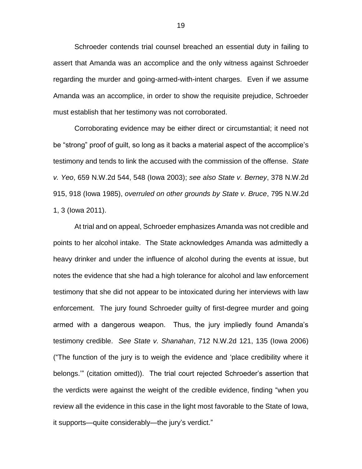Schroeder contends trial counsel breached an essential duty in failing to assert that Amanda was an accomplice and the only witness against Schroeder regarding the murder and going-armed-with-intent charges. Even if we assume Amanda was an accomplice, in order to show the requisite prejudice, Schroeder must establish that her testimony was not corroborated.

Corroborating evidence may be either direct or circumstantial; it need not be "strong" proof of guilt, so long as it backs a material aspect of the accomplice's testimony and tends to link the accused with the commission of the offense. *State v. Yeo*, 659 N.W.2d 544, 548 (Iowa 2003); *see also State v. Berney*, 378 N.W.2d 915, 918 (Iowa 1985), *overruled on other grounds by State v. Bruce*, 795 N.W.2d 1, 3 (Iowa 2011).

At trial and on appeal, Schroeder emphasizes Amanda was not credible and points to her alcohol intake. The State acknowledges Amanda was admittedly a heavy drinker and under the influence of alcohol during the events at issue, but notes the evidence that she had a high tolerance for alcohol and law enforcement testimony that she did not appear to be intoxicated during her interviews with law enforcement. The jury found Schroeder guilty of first-degree murder and going armed with a dangerous weapon. Thus, the jury impliedly found Amanda's testimony credible. *See State v. Shanahan*, 712 N.W.2d 121, 135 (Iowa 2006) ("The function of the jury is to weigh the evidence and 'place credibility where it belongs.'" (citation omitted)). The trial court rejected Schroeder's assertion that the verdicts were against the weight of the credible evidence, finding "when you review all the evidence in this case in the light most favorable to the State of Iowa, it supports—quite considerably—the jury's verdict."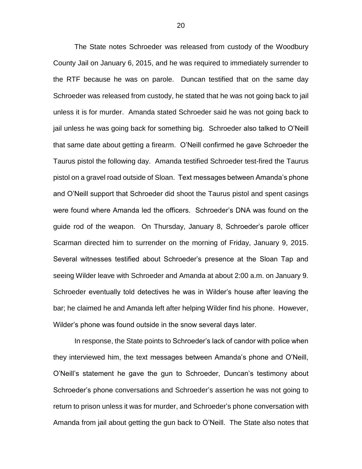The State notes Schroeder was released from custody of the Woodbury County Jail on January 6, 2015, and he was required to immediately surrender to the RTF because he was on parole. Duncan testified that on the same day Schroeder was released from custody, he stated that he was not going back to jail unless it is for murder. Amanda stated Schroeder said he was not going back to jail unless he was going back for something big. Schroeder also talked to O'Neill that same date about getting a firearm. O'Neill confirmed he gave Schroeder the Taurus pistol the following day. Amanda testified Schroeder test-fired the Taurus pistol on a gravel road outside of Sloan. Text messages between Amanda's phone and O'Neill support that Schroeder did shoot the Taurus pistol and spent casings were found where Amanda led the officers. Schroeder's DNA was found on the guide rod of the weapon. On Thursday, January 8, Schroeder's parole officer Scarman directed him to surrender on the morning of Friday, January 9, 2015. Several witnesses testified about Schroeder's presence at the Sloan Tap and seeing Wilder leave with Schroeder and Amanda at about 2:00 a.m. on January 9. Schroeder eventually told detectives he was in Wilder's house after leaving the bar; he claimed he and Amanda left after helping Wilder find his phone. However, Wilder's phone was found outside in the snow several days later.

In response, the State points to Schroeder's lack of candor with police when they interviewed him, the text messages between Amanda's phone and O'Neill, O'Neill's statement he gave the gun to Schroeder, Duncan's testimony about Schroeder's phone conversations and Schroeder's assertion he was not going to return to prison unless it was for murder, and Schroeder's phone conversation with Amanda from jail about getting the gun back to O'Neill. The State also notes that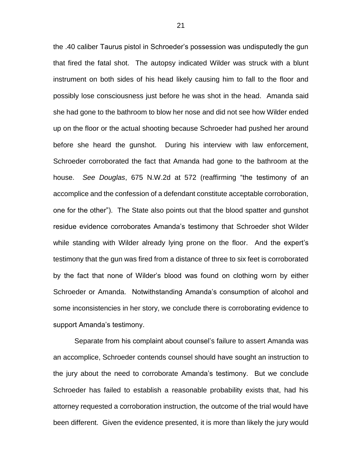the .40 caliber Taurus pistol in Schroeder's possession was undisputedly the gun that fired the fatal shot. The autopsy indicated Wilder was struck with a blunt instrument on both sides of his head likely causing him to fall to the floor and possibly lose consciousness just before he was shot in the head. Amanda said she had gone to the bathroom to blow her nose and did not see how Wilder ended up on the floor or the actual shooting because Schroeder had pushed her around before she heard the gunshot. During his interview with law enforcement, Schroeder corroborated the fact that Amanda had gone to the bathroom at the house. *See Douglas*, 675 N.W.2d at 572 (reaffirming "the testimony of an accomplice and the confession of a defendant constitute acceptable corroboration, one for the other"). The State also points out that the blood spatter and gunshot residue evidence corroborates Amanda's testimony that Schroeder shot Wilder while standing with Wilder already lying prone on the floor. And the expert's testimony that the gun was fired from a distance of three to six feet is corroborated by the fact that none of Wilder's blood was found on clothing worn by either Schroeder or Amanda. Notwithstanding Amanda's consumption of alcohol and some inconsistencies in her story, we conclude there is corroborating evidence to support Amanda's testimony.

Separate from his complaint about counsel's failure to assert Amanda was an accomplice, Schroeder contends counsel should have sought an instruction to the jury about the need to corroborate Amanda's testimony. But we conclude Schroeder has failed to establish a reasonable probability exists that, had his attorney requested a corroboration instruction, the outcome of the trial would have been different. Given the evidence presented, it is more than likely the jury would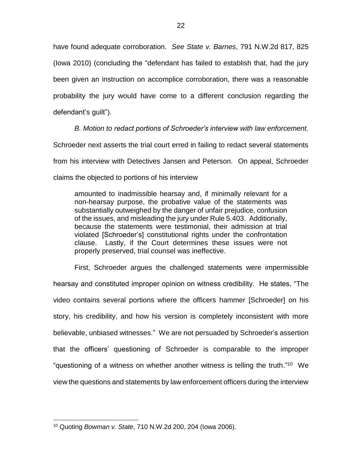have found adequate corroboration. *See State v. Barnes*, 791 N.W.2d 817, 825 (Iowa 2010) (concluding the "defendant has failed to establish that, had the jury been given an instruction on accomplice corroboration, there was a reasonable probability the jury would have come to a different conclusion regarding the defendant's guilt").

*B. Motion to redact portions of Schroeder's interview with law enforcement.* Schroeder next asserts the trial court erred in failing to redact several statements from his interview with Detectives Jansen and Peterson. On appeal, Schroeder claims the objected to portions of his interview

amounted to inadmissible hearsay and, if minimally relevant for a non-hearsay purpose, the probative value of the statements was substantially outweighed by the danger of unfair prejudice, confusion of the issues, and misleading the jury under Rule 5.403. Additionally, because the statements were testimonial, their admission at trial violated [Schroeder's] constitutional rights under the confrontation clause. Lastly, if the Court determines these issues were not properly preserved, trial counsel was ineffective.

First, Schroeder argues the challenged statements were impermissible hearsay and constituted improper opinion on witness credibility. He states, "The video contains several portions where the officers hammer [Schroeder] on his story, his credibility, and how his version is completely inconsistent with more believable, unbiased witnesses." We are not persuaded by Schroeder's assertion that the officers' questioning of Schroeder is comparable to the improper "questioning of a witness on whether another witness is telling the truth."<sup>10</sup> We view the questions and statements by law enforcement officers during the interview

<sup>10</sup> Quoting *Bowman v. State*, 710 N.W.2d 200, 204 (Iowa 2006).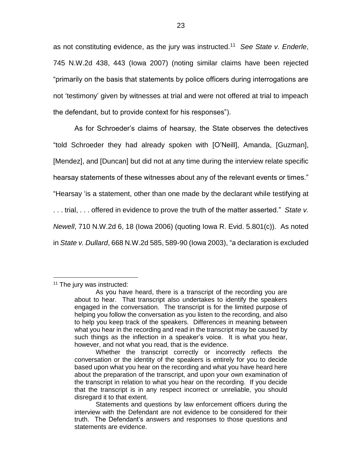as not constituting evidence, as the jury was instructed.<sup>11</sup> *See State v. Enderle*, 745 N.W.2d 438, 443 (Iowa 2007) (noting similar claims have been rejected "primarily on the basis that statements by police officers during interrogations are not 'testimony' given by witnesses at trial and were not offered at trial to impeach the defendant, but to provide context for his responses").

As for Schroeder's claims of hearsay, the State observes the detectives "told Schroeder they had already spoken with [O'Neill], Amanda, [Guzman], [Mendez], and [Duncan] but did not at any time during the interview relate specific hearsay statements of these witnesses about any of the relevant events or times." "Hearsay 'is a statement, other than one made by the declarant while testifying at . . . trial, . . . offered in evidence to prove the truth of the matter asserted." *State v. Newell*, 710 N.W.2d 6, 18 (Iowa 2006) (quoting Iowa R. Evid. 5.801(c)). As noted in *State v. Dullard*, 668 N.W.2d 585, 589-90 (Iowa 2003), "a declaration is excluded

<sup>&</sup>lt;sup>11</sup> The jury was instructed:

As you have heard, there is a transcript of the recording you are about to hear. That transcript also undertakes to identify the speakers engaged in the conversation. The transcript is for the limited purpose of helping you follow the conversation as you listen to the recording, and also to help you keep track of the speakers. Differences in meaning between what you hear in the recording and read in the transcript may be caused by such things as the inflection in a speaker's voice. It is what you hear, however, and not what you read, that is the evidence.

Whether the transcript correctly or incorrectly reflects the conversation or the identity of the speakers is entirely for you to decide based upon what you hear on the recording and what you have heard here about the preparation of the transcript, and upon your own examination of the transcript in relation to what you hear on the recording. If you decide that the transcript is in any respect incorrect or unreliable, you should disregard it to that extent.

Statements and questions by law enforcement officers during the interview with the Defendant are not evidence to be considered for their truth. The Defendant's answers and responses to those questions and statements are evidence.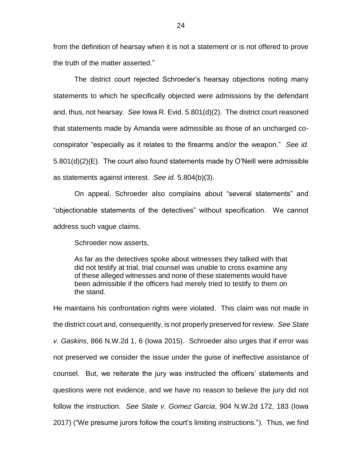from the definition of hearsay when it is not a statement or is not offered to prove the truth of the matter asserted."

The district court rejected Schroeder's hearsay objections noting many statements to which he specifically objected were admissions by the defendant and, thus, not hearsay. *See* Iowa R. Evid. 5.801(d)(2). The district court reasoned that statements made by Amanda were admissible as those of an uncharged coconspirator "especially as it relates to the firearms and/or the weapon." *See id.* 5.801(d)(2)(E). The court also found statements made by O'Neill were admissible as statements against interest. *See id.* 5.804(b)(3).

On appeal, Schroeder also complains about "several statements" and "objectionable statements of the detectives" without specification. We cannot address such vague claims.

Schroeder now asserts,

As far as the detectives spoke about witnesses they talked with that did not testify at trial, trial counsel was unable to cross examine any of these alleged witnesses and none of these statements would have been admissible if the officers had merely tried to testify to them on the stand.

He maintains his confrontation rights were violated. This claim was not made in the district court and, consequently, is not properly preserved for review. *See State v. Gaskins*, 866 N.W.2d 1, 6 (Iowa 2015). Schroeder also urges that if error was not preserved we consider the issue under the guise of ineffective assistance of counsel. But, we reiterate the jury was instructed the officers' statements and questions were not evidence, and we have no reason to believe the jury did not follow the instruction. *See State v. Gomez Garcia*, 904 N.W.2d 172, 183 (Iowa 2017) ("We presume jurors follow the court's limiting instructions."). Thus, we find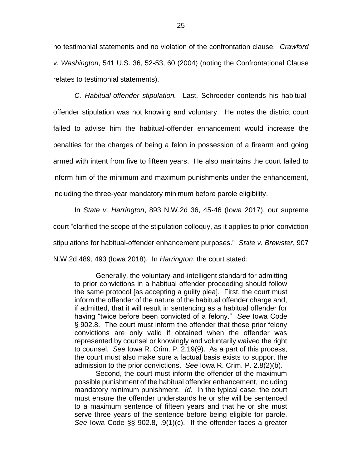no testimonial statements and no violation of the confrontation clause. *Crawford v. Washington*, 541 U.S. 36, 52-53, 60 (2004) (noting the Confrontational Clause relates to testimonial statements).

*C. Habitual-offender stipulation.* Last, Schroeder contends his habitualoffender stipulation was not knowing and voluntary. He notes the district court failed to advise him the habitual-offender enhancement would increase the penalties for the charges of being a felon in possession of a firearm and going armed with intent from five to fifteen years. He also maintains the court failed to inform him of the minimum and maximum punishments under the enhancement, including the three-year mandatory minimum before parole eligibility.

In *State v. Harrington*, 893 N.W.2d 36, 45-46 (Iowa 2017), our supreme court "clarified the scope of the stipulation colloquy, as it applies to prior-conviction stipulations for habitual-offender enhancement purposes." *State v. Brewster*, 907 N.W.2d 489, 493 (Iowa 2018). In *Harrington*, the court stated:

Generally, the voluntary-and-intelligent standard for admitting to prior convictions in a habitual offender proceeding should follow the same protocol [as accepting a guilty plea]. First, the court must inform the offender of the nature of the habitual offender charge and, if admitted, that it will result in sentencing as a habitual offender for having "twice before been convicted of a felony." *See* Iowa Code § 902.8. The court must inform the offender that these prior felony convictions are only valid if obtained when the offender was represented by counsel or knowingly and voluntarily waived the right to counsel. *See* Iowa R. Crim. P. 2.19(9). As a part of this process, the court must also make sure a factual basis exists to support the admission to the prior convictions. *See* Iowa R. Crim. P. 2.8(2)(b).

Second, the court must inform the offender of the maximum possible punishment of the habitual offender enhancement, including mandatory minimum punishment. *Id.* In the typical case, the court must ensure the offender understands he or she will be sentenced to a maximum sentence of fifteen years and that he or she must serve three years of the sentence before being eligible for parole. *See* Iowa Code §§ 902.8, .9(1)(c). If the offender faces a greater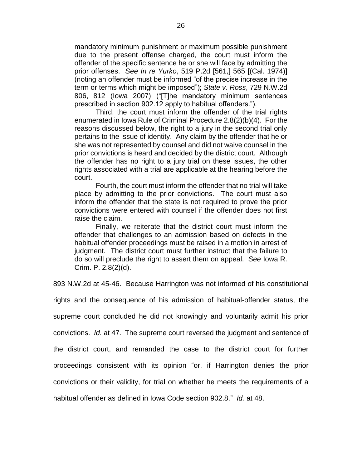mandatory minimum punishment or maximum possible punishment due to the present offense charged, the court must inform the offender of the specific sentence he or she will face by admitting the prior offenses. *See In re Yurko*, 519 P.2d [561,] 565 [(Cal. 1974)] (noting an offender must be informed "of the precise increase in the term or terms which might be imposed"); *State v. Ross*, 729 N.W.2d 806, 812 (Iowa 2007) ("[T]he mandatory minimum sentences prescribed in section 902.12 apply to habitual offenders.").

Third, the court must inform the offender of the trial rights enumerated in Iowa Rule of Criminal Procedure 2.8(2)(b)(4). For the reasons discussed below, the right to a jury in the second trial only pertains to the issue of identity. Any claim by the offender that he or she was not represented by counsel and did not waive counsel in the prior convictions is heard and decided by the district court. Although the offender has no right to a jury trial on these issues, the other rights associated with a trial are applicable at the hearing before the court.

Fourth, the court must inform the offender that no trial will take place by admitting to the prior convictions. The court must also inform the offender that the state is not required to prove the prior convictions were entered with counsel if the offender does not first raise the claim.

Finally, we reiterate that the district court must inform the offender that challenges to an admission based on defects in the habitual offender proceedings must be raised in a motion in arrest of judgment. The district court must further instruct that the failure to do so will preclude the right to assert them on appeal. *See* Iowa R. Crim. P. 2.8(2)(d).

893 N.W.2d at 45-46. Because Harrington was not informed of his constitutional

rights and the consequence of his admission of habitual-offender status, the supreme court concluded he did not knowingly and voluntarily admit his prior convictions. *Id.* at 47. The supreme court reversed the judgment and sentence of the district court, and remanded the case to the district court for further proceedings consistent with its opinion "or, if Harrington denies the prior convictions or their validity, for trial on whether he meets the requirements of a habitual offender as defined in Iowa Code section 902.8." *Id.* at 48.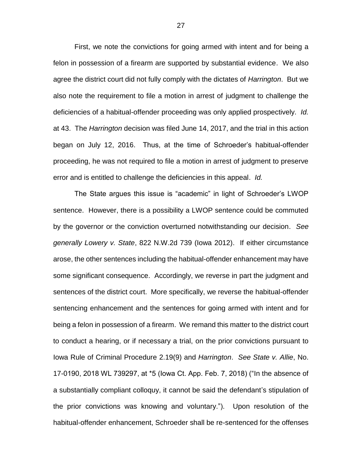First, we note the convictions for going armed with intent and for being a felon in possession of a firearm are supported by substantial evidence. We also agree the district court did not fully comply with the dictates of *Harrington*. But we also note the requirement to file a motion in arrest of judgment to challenge the deficiencies of a habitual-offender proceeding was only applied prospectively. *Id.* at 43. The *Harrington* decision was filed June 14, 2017, and the trial in this action began on July 12, 2016. Thus, at the time of Schroeder's habitual-offender proceeding, he was not required to file a motion in arrest of judgment to preserve error and is entitled to challenge the deficiencies in this appeal. *Id.*

The State argues this issue is "academic" in light of Schroeder's LWOP sentence. However, there is a possibility a LWOP sentence could be commuted by the governor or the conviction overturned notwithstanding our decision. *See generally Lowery v. State*, 822 N.W.2d 739 (Iowa 2012). If either circumstance arose, the other sentences including the habitual-offender enhancement may have some significant consequence. Accordingly, we reverse in part the judgment and sentences of the district court. More specifically, we reverse the habitual-offender sentencing enhancement and the sentences for going armed with intent and for being a felon in possession of a firearm. We remand this matter to the district court to conduct a hearing, or if necessary a trial, on the prior convictions pursuant to Iowa Rule of Criminal Procedure 2.19(9) and *Harrington*. *See State v. Allie*, No. 17-0190, 2018 WL 739297, at \*5 (Iowa Ct. App. Feb. 7, 2018) ("In the absence of a substantially compliant colloquy, it cannot be said the defendant's stipulation of the prior convictions was knowing and voluntary."). Upon resolution of the habitual-offender enhancement, Schroeder shall be re-sentenced for the offenses